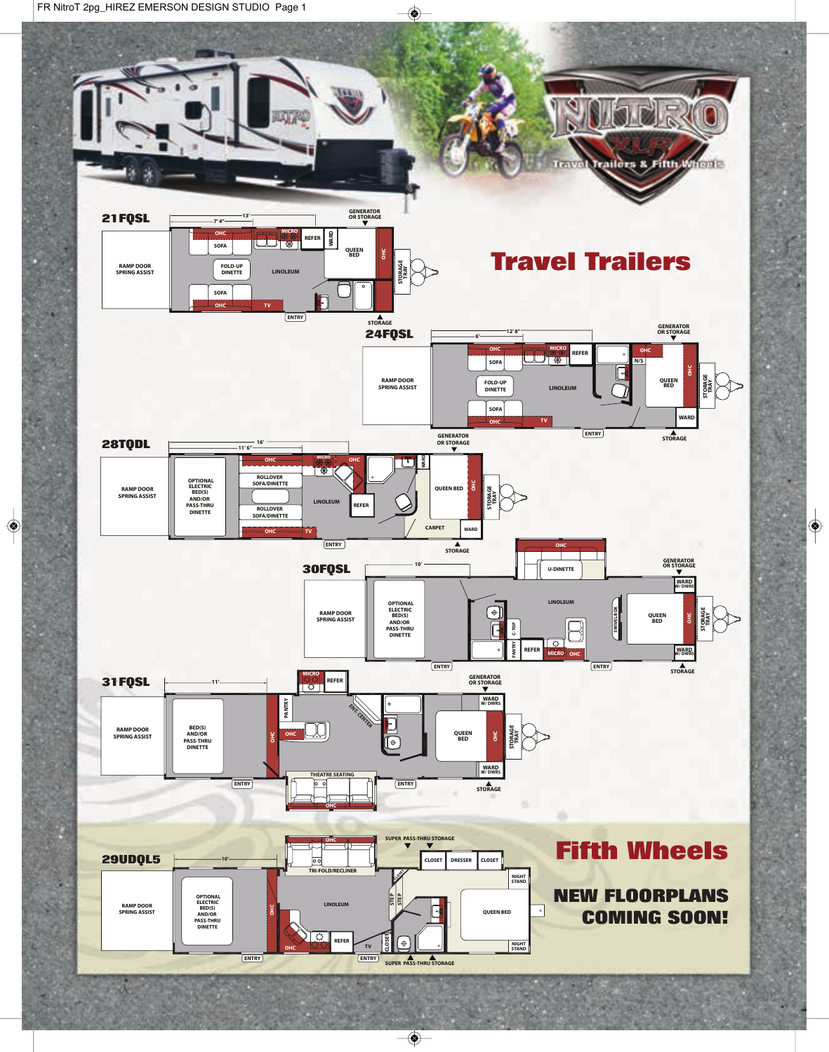